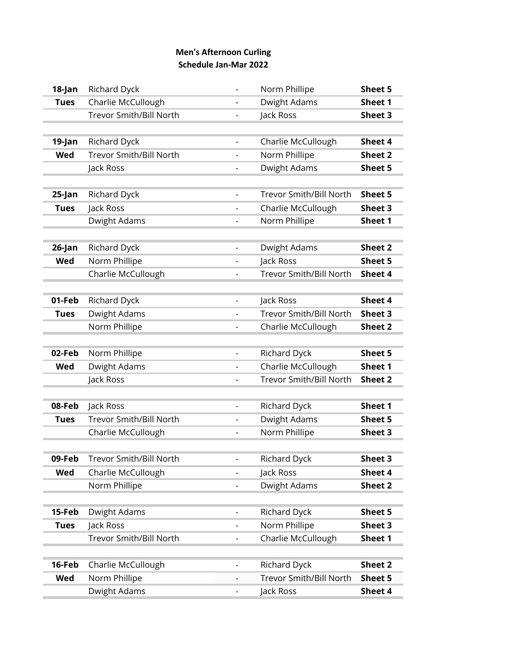## **Men's Afternoon Curling Schedule Jan-Mar 2022**

| 18-Jan      | Richard Dyck                   |                          | Norm Phillipe                  | Sheet 5 |
|-------------|--------------------------------|--------------------------|--------------------------------|---------|
| <b>Tues</b> | Charlie McCullough             |                          | Dwight Adams                   | Sheet 1 |
|             | <b>Trevor Smith/Bill North</b> | $\overline{\phantom{0}}$ | Jack Ross                      | Sheet 3 |
|             |                                |                          |                                |         |
| 19-Jan      | Richard Dyck                   | $\overline{\phantom{a}}$ | Charlie McCullough             | Sheet 4 |
| Wed         | <b>Trevor Smith/Bill North</b> |                          | Norm Phillipe                  | Sheet 2 |
|             | Jack Ross                      | $\overline{\phantom{a}}$ | Dwight Adams                   | Sheet 5 |
|             |                                |                          |                                |         |
| $25$ -Jan   | Richard Dyck                   |                          | <b>Trevor Smith/Bill North</b> | Sheet 5 |
| <b>Tues</b> | Jack Ross                      | $\overline{\phantom{a}}$ | Charlie McCullough             | Sheet 3 |
|             | Dwight Adams                   |                          | Norm Phillipe                  | Sheet 1 |
|             |                                |                          |                                |         |
| 26-Jan      | Richard Dyck                   | $\overline{\phantom{a}}$ | Dwight Adams                   | Sheet 2 |
| Wed         | Norm Phillipe                  |                          | Jack Ross                      | Sheet 5 |
|             | Charlie McCullough             | $\overline{\phantom{a}}$ | <b>Trevor Smith/Bill North</b> | Sheet 4 |
|             |                                |                          |                                |         |
| 01-Feb      | Richard Dyck                   | $\overline{\phantom{a}}$ | Jack Ross                      | Sheet 4 |
| <b>Tues</b> | Dwight Adams                   | $\overline{\phantom{0}}$ | Trevor Smith/Bill North        | Sheet 3 |
|             | Norm Phillipe                  |                          | Charlie McCullough             | Sheet 2 |
|             |                                |                          |                                |         |
| 02-Feb      | Norm Phillipe                  |                          | Richard Dyck                   | Sheet 5 |
| Wed         | Dwight Adams                   | $\overline{a}$           | Charlie McCullough             | Sheet 1 |
|             | Jack Ross                      | $\overline{\phantom{0}}$ | <b>Trevor Smith/Bill North</b> | Sheet 2 |
|             |                                |                          |                                |         |
| 08-Feb      | Jack Ross                      | $\overline{\phantom{a}}$ | Richard Dyck                   | Sheet 1 |
| <b>Tues</b> | <b>Trevor Smith/Bill North</b> | $\overline{\phantom{0}}$ | Dwight Adams                   | Sheet 5 |
|             | Charlie McCullough             | $\overline{\phantom{0}}$ | Norm Phillipe                  | Sheet 3 |
|             |                                |                          |                                |         |
| 09-Feb      | <b>Trevor Smith/Bill North</b> |                          | Richard Dyck                   | Sheet 3 |
| Wed         | Charlie McCullough             | $\overline{\phantom{a}}$ | Jack Ross                      | Sheet 4 |
|             | Norm Phillipe                  |                          | Dwight Adams                   | Sheet 2 |
|             |                                |                          |                                |         |
| 15-Feb      | Dwight Adams                   | $\overline{\phantom{a}}$ | Richard Dyck                   | Sheet 5 |
| <b>Tues</b> | Jack Ross                      |                          | Norm Phillipe                  | Sheet 3 |
|             | Trevor Smith/Bill North        | $\overline{\phantom{a}}$ | Charlie McCullough             | Sheet 1 |
|             |                                |                          |                                |         |
| 16-Feb      | Charlie McCullough             | $\overline{a}$           | Richard Dyck                   | Sheet 2 |
| Wed         | Norm Phillipe                  | $\qquad \qquad -$        | <b>Trevor Smith/Bill North</b> | Sheet 5 |
|             | Dwight Adams                   |                          | Jack Ross                      | Sheet 4 |